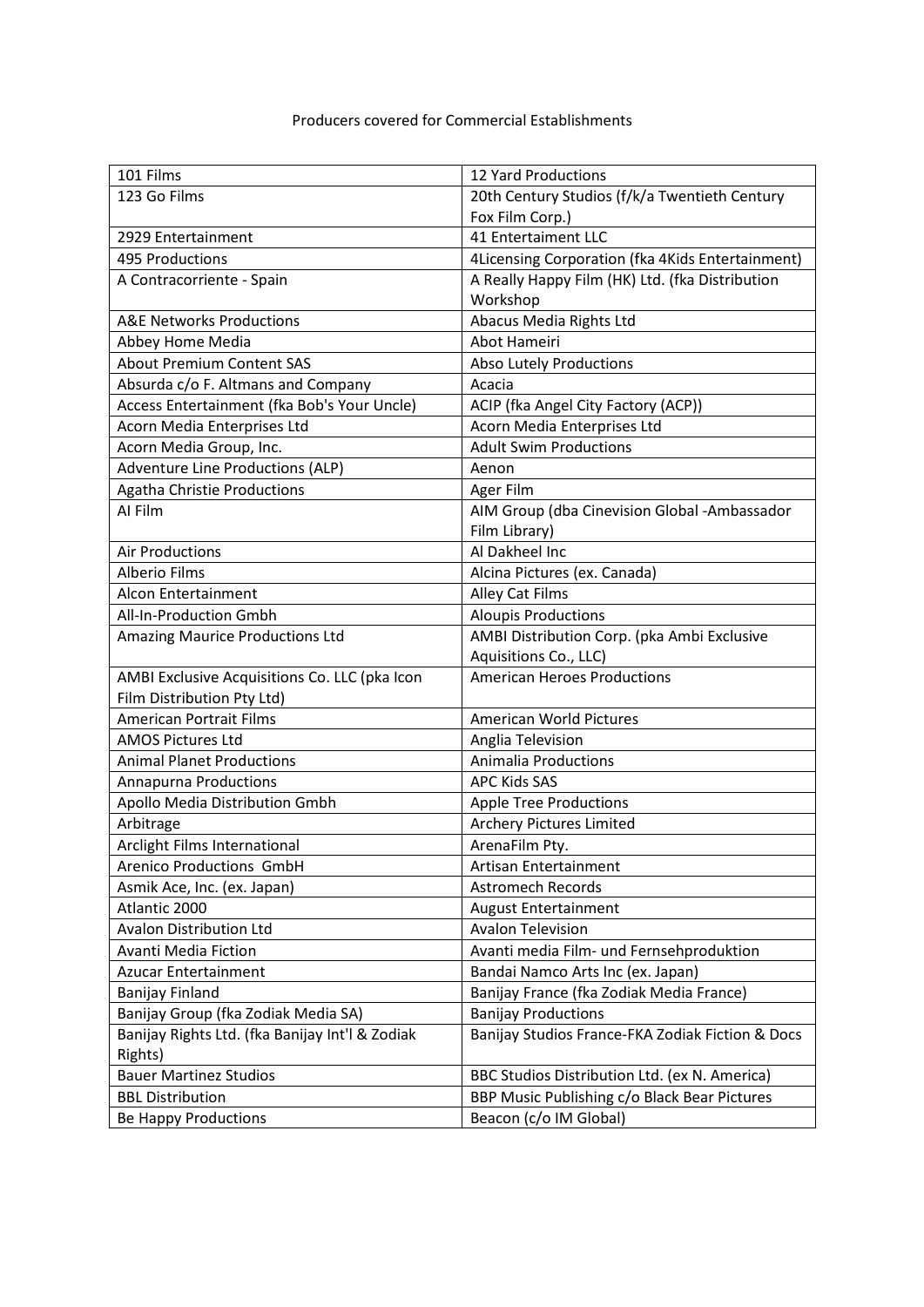| 101 Films                                       | 12 Yard Productions                              |
|-------------------------------------------------|--------------------------------------------------|
| 123 Go Films                                    | 20th Century Studios (f/k/a Twentieth Century    |
|                                                 | Fox Film Corp.)                                  |
| 2929 Entertainment                              | 41 Entertaiment LLC                              |
| 495 Productions                                 | 4Licensing Corporation (fka 4Kids Entertainment) |
| A Contracorriente - Spain                       | A Really Happy Film (HK) Ltd. (fka Distribution  |
|                                                 | Workshop                                         |
| <b>A&amp;E Networks Productions</b>             | Abacus Media Rights Ltd                          |
| Abbey Home Media                                | Abot Hameiri                                     |
| <b>About Premium Content SAS</b>                | <b>Abso Lutely Productions</b>                   |
| Absurda c/o F. Altmans and Company              | Acacia                                           |
| Access Entertainment (fka Bob's Your Uncle)     | ACIP (fka Angel City Factory (ACP))              |
| Acorn Media Enterprises Ltd                     | Acorn Media Enterprises Ltd                      |
| Acorn Media Group, Inc.                         | <b>Adult Swim Productions</b>                    |
| <b>Adventure Line Productions (ALP)</b>         | Aenon                                            |
| <b>Agatha Christie Productions</b>              | Ager Film                                        |
| Al Film                                         | AIM Group (dba Cinevision Global - Ambassador    |
|                                                 | Film Library)                                    |
| <b>Air Productions</b>                          | Al Dakheel Inc                                   |
| <b>Alberio Films</b>                            | Alcina Pictures (ex. Canada)                     |
| Alcon Entertainment                             | Alley Cat Films                                  |
| All-In-Production Gmbh                          | <b>Aloupis Productions</b>                       |
| <b>Amazing Maurice Productions Ltd</b>          | AMBI Distribution Corp. (pka Ambi Exclusive      |
|                                                 | Aquisitions Co., LLC)                            |
| AMBI Exclusive Acquisitions Co. LLC (pka Icon   | <b>American Heroes Productions</b>               |
| Film Distribution Pty Ltd)                      |                                                  |
| <b>American Portrait Films</b>                  | <b>American World Pictures</b>                   |
| <b>AMOS Pictures Ltd</b>                        | Anglia Television                                |
| <b>Animal Planet Productions</b>                | Animalia Productions                             |
| <b>Annapurna Productions</b>                    | <b>APC Kids SAS</b>                              |
| Apollo Media Distribution Gmbh                  | <b>Apple Tree Productions</b>                    |
| Arbitrage                                       | Archery Pictures Limited                         |
| Arclight Films International                    | ArenaFilm Pty.                                   |
| Arenico Productions GmbH                        | Artisan Entertainment                            |
| Asmik Ace, Inc. (ex. Japan)                     | <b>Astromech Records</b>                         |
| Atlantic 2000                                   | <b>August Entertainment</b>                      |
| <b>Avalon Distribution Ltd</b>                  | <b>Avalon Television</b>                         |
| Avanti Media Fiction                            | Avanti media Film- und Fernsehproduktion         |
| <b>Azucar Entertainment</b>                     | Bandai Namco Arts Inc (ex. Japan)                |
| <b>Banijay Finland</b>                          | Banijay France (fka Zodiak Media France)         |
| Banijay Group (fka Zodiak Media SA)             | <b>Banijay Productions</b>                       |
| Banijay Rights Ltd. (fka Banijay Int'l & Zodiak | Banijay Studios France-FKA Zodiak Fiction & Docs |
| Rights)                                         |                                                  |
| <b>Bauer Martinez Studios</b>                   | BBC Studios Distribution Ltd. (ex N. America)    |
| <b>BBL Distribution</b>                         | BBP Music Publishing c/o Black Bear Pictures     |
| Be Happy Productions                            | Beacon (c/o IM Global)                           |
|                                                 |                                                  |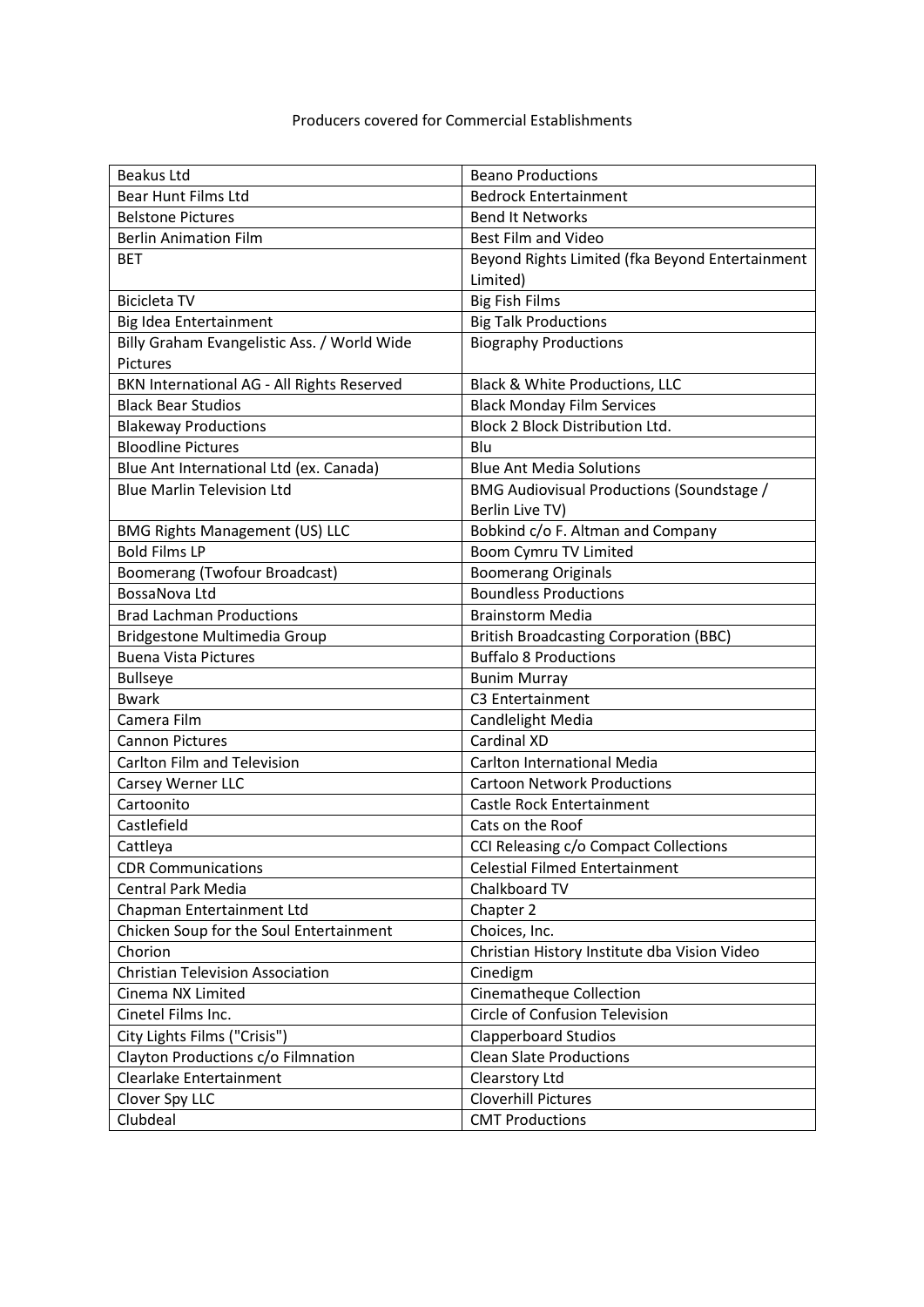| Beakus Ltd                                  | <b>Beano Productions</b>                        |
|---------------------------------------------|-------------------------------------------------|
| Bear Hunt Films Ltd                         | <b>Bedrock Entertainment</b>                    |
| <b>Belstone Pictures</b>                    | <b>Bend It Networks</b>                         |
| <b>Berlin Animation Film</b>                | <b>Best Film and Video</b>                      |
| <b>BET</b>                                  | Beyond Rights Limited (fka Beyond Entertainment |
|                                             | Limited)                                        |
| <b>Bicicleta TV</b>                         | <b>Big Fish Films</b>                           |
| Big Idea Entertainment                      | <b>Big Talk Productions</b>                     |
| Billy Graham Evangelistic Ass. / World Wide | <b>Biography Productions</b>                    |
| Pictures                                    |                                                 |
| BKN International AG - All Rights Reserved  | Black & White Productions, LLC                  |
| <b>Black Bear Studios</b>                   | <b>Black Monday Film Services</b>               |
| <b>Blakeway Productions</b>                 | Block 2 Block Distribution Ltd.                 |
| <b>Bloodline Pictures</b>                   | Blu                                             |
| Blue Ant International Ltd (ex. Canada)     | <b>Blue Ant Media Solutions</b>                 |
| <b>Blue Marlin Television Ltd</b>           | BMG Audiovisual Productions (Soundstage /       |
|                                             | Berlin Live TV)                                 |
| <b>BMG Rights Management (US) LLC</b>       | Bobkind c/o F. Altman and Company               |
| <b>Bold Films LP</b>                        | <b>Boom Cymru TV Limited</b>                    |
| Boomerang (Twofour Broadcast)               | <b>Boomerang Originals</b>                      |
| BossaNova Ltd                               | <b>Boundless Productions</b>                    |
| <b>Brad Lachman Productions</b>             | <b>Brainstorm Media</b>                         |
| Bridgestone Multimedia Group                | <b>British Broadcasting Corporation (BBC)</b>   |
| <b>Buena Vista Pictures</b>                 | <b>Buffalo 8 Productions</b>                    |
| <b>Bullseye</b>                             | <b>Bunim Murray</b>                             |
| <b>Bwark</b>                                | C3 Entertainment                                |
| Camera Film                                 | Candlelight Media                               |
| <b>Cannon Pictures</b>                      | Cardinal XD                                     |
| Carlton Film and Television                 | <b>Carlton International Media</b>              |
| Carsey Werner LLC                           | <b>Cartoon Network Productions</b>              |
| Cartoonito                                  | Castle Rock Entertainment                       |
| Castlefield                                 | Cats on the Roof                                |
| Cattleya                                    | CCI Releasing c/o Compact Collections           |
| <b>CDR Communications</b>                   | <b>Celestial Filmed Entertainment</b>           |
| <b>Central Park Media</b>                   | Chalkboard TV                                   |
| Chapman Entertainment Ltd                   | Chapter 2                                       |
| Chicken Soup for the Soul Entertainment     | Choices, Inc.                                   |
| Chorion                                     | Christian History Institute dba Vision Video    |
| <b>Christian Television Association</b>     | Cinedigm                                        |
| Cinema NX Limited                           | Cinematheque Collection                         |
| Cinetel Films Inc.                          | Circle of Confusion Television                  |
| City Lights Films ("Crisis")                | <b>Clapperboard Studios</b>                     |
| Clayton Productions c/o Filmnation          | <b>Clean Slate Productions</b>                  |
| Clearlake Entertainment                     | Clearstory Ltd                                  |
| Clover Spy LLC                              | <b>Cloverhill Pictures</b>                      |
| Clubdeal                                    | <b>CMT Productions</b>                          |
|                                             |                                                 |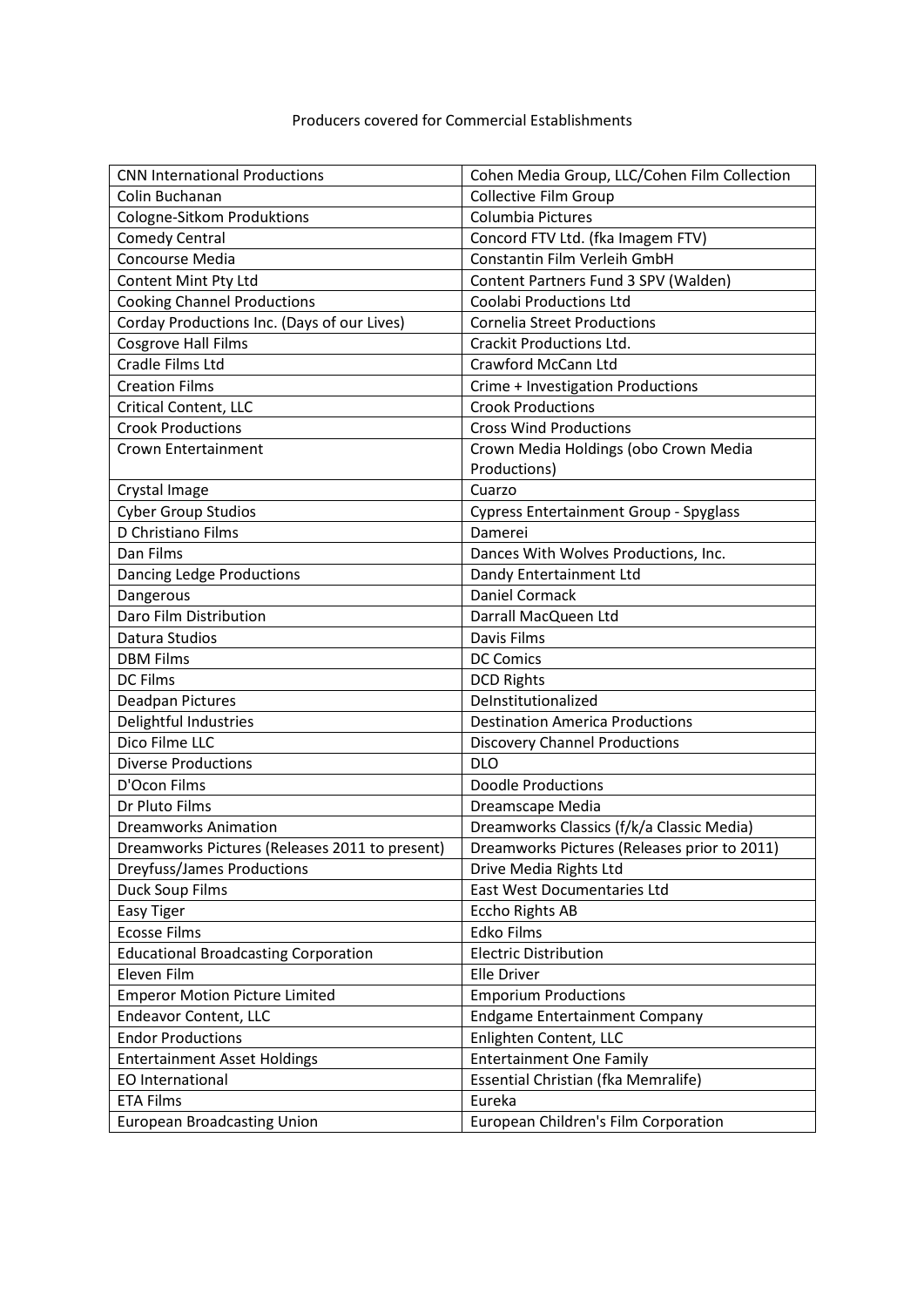| <b>CNN International Productions</b>           | Cohen Media Group, LLC/Cohen Film Collection  |
|------------------------------------------------|-----------------------------------------------|
| Colin Buchanan                                 | <b>Collective Film Group</b>                  |
| Cologne-Sitkom Produktions                     | Columbia Pictures                             |
| <b>Comedy Central</b>                          | Concord FTV Ltd. (fka Imagem FTV)             |
| Concourse Media                                | Constantin Film Verleih GmbH                  |
| Content Mint Pty Ltd                           | Content Partners Fund 3 SPV (Walden)          |
| <b>Cooking Channel Productions</b>             | <b>Coolabi Productions Ltd</b>                |
| Corday Productions Inc. (Days of our Lives)    | <b>Cornelia Street Productions</b>            |
| <b>Cosgrove Hall Films</b>                     | <b>Crackit Productions Ltd.</b>               |
| Cradle Films Ltd                               | Crawford McCann Ltd                           |
| <b>Creation Films</b>                          | Crime + Investigation Productions             |
| Critical Content, LLC                          | <b>Crook Productions</b>                      |
| <b>Crook Productions</b>                       | <b>Cross Wind Productions</b>                 |
| Crown Entertainment                            | Crown Media Holdings (obo Crown Media         |
|                                                | Productions)                                  |
| Crystal Image                                  | Cuarzo                                        |
| <b>Cyber Group Studios</b>                     | <b>Cypress Entertainment Group - Spyglass</b> |
| D Christiano Films                             | Damerei                                       |
| Dan Films                                      | Dances With Wolves Productions, Inc.          |
| Dancing Ledge Productions                      | Dandy Entertainment Ltd                       |
| Dangerous                                      | Daniel Cormack                                |
| Daro Film Distribution                         | Darrall MacQueen Ltd                          |
| Datura Studios                                 | Davis Films                                   |
| <b>DBM Films</b>                               | <b>DC Comics</b>                              |
| <b>DC Films</b>                                | <b>DCD Rights</b>                             |
| Deadpan Pictures                               | DeInstitutionalized                           |
| Delightful Industries                          | <b>Destination America Productions</b>        |
| Dico Filme LLC                                 | <b>Discovery Channel Productions</b>          |
| <b>Diverse Productions</b>                     | <b>DLO</b>                                    |
| D'Ocon Films                                   | <b>Doodle Productions</b>                     |
| Dr Pluto Films                                 | Dreamscape Media                              |
| <b>Dreamworks Animation</b>                    | Dreamworks Classics (f/k/a Classic Media)     |
| Dreamworks Pictures (Releases 2011 to present) | Dreamworks Pictures (Releases prior to 2011)  |
| <b>Dreyfuss/James Productions</b>              | Drive Media Rights Ltd                        |
| Duck Soup Films                                | East West Documentaries Ltd                   |
| Easy Tiger                                     | Eccho Rights AB                               |
| <b>Ecosse Films</b>                            | Edko Films                                    |
| <b>Educational Broadcasting Corporation</b>    | <b>Electric Distribution</b>                  |
| Eleven Film                                    | <b>Elle Driver</b>                            |
| <b>Emperor Motion Picture Limited</b>          | <b>Emporium Productions</b>                   |
| Endeavor Content, LLC                          | <b>Endgame Entertainment Company</b>          |
| <b>Endor Productions</b>                       | Enlighten Content, LLC                        |
| <b>Entertainment Asset Holdings</b>            | <b>Entertainment One Family</b>               |
| EO International                               | Essential Christian (fka Memralife)           |
| <b>ETA Films</b>                               | Eureka                                        |
| <b>European Broadcasting Union</b>             | European Children's Film Corporation          |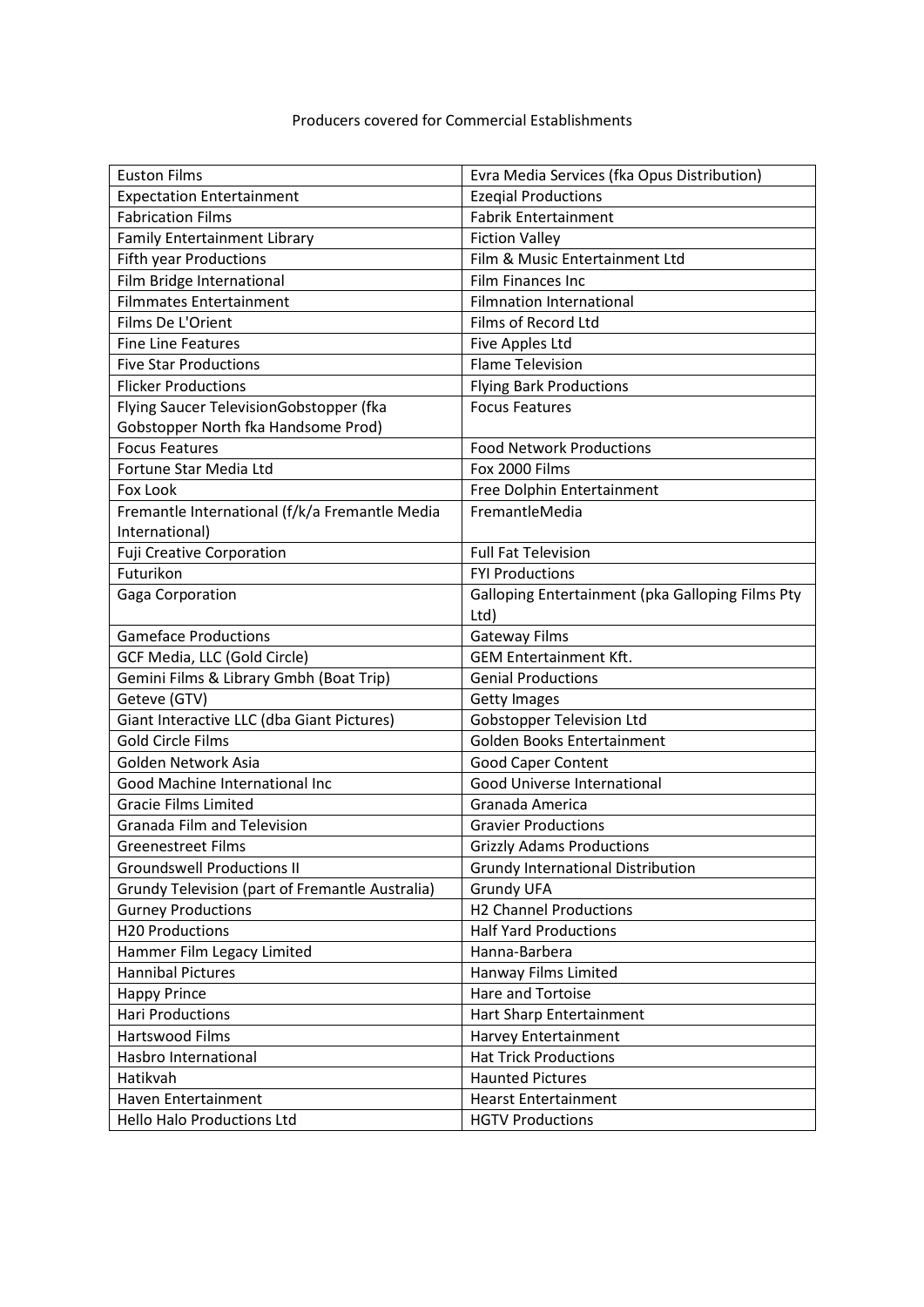| <b>Euston Films</b>                             | Evra Media Services (fka Opus Distribution)      |
|-------------------------------------------------|--------------------------------------------------|
| <b>Expectation Entertainment</b>                | <b>Ezegial Productions</b>                       |
| <b>Fabrication Films</b>                        | <b>Fabrik Entertainment</b>                      |
| Family Entertainment Library                    | <b>Fiction Valley</b>                            |
| <b>Fifth year Productions</b>                   | Film & Music Entertainment Ltd                   |
| Film Bridge International                       | Film Finances Inc                                |
| <b>Filmmates Entertainment</b>                  | <b>Filmnation International</b>                  |
| Films De L'Orient                               | Films of Record Ltd                              |
| <b>Fine Line Features</b>                       | Five Apples Ltd                                  |
| <b>Five Star Productions</b>                    | <b>Flame Television</b>                          |
| <b>Flicker Productions</b>                      | <b>Flying Bark Productions</b>                   |
| Flying Saucer TelevisionGobstopper (fka         | <b>Focus Features</b>                            |
| Gobstopper North fka Handsome Prod)             |                                                  |
| <b>Focus Features</b>                           | <b>Food Network Productions</b>                  |
| Fortune Star Media Ltd                          | Fox 2000 Films                                   |
| Fox Look                                        | Free Dolphin Entertainment                       |
| Fremantle International (f/k/a Fremantle Media  | FremantleMedia                                   |
| International)                                  |                                                  |
| <b>Fuji Creative Corporation</b>                | <b>Full Fat Television</b>                       |
| Futurikon                                       | <b>FYI Productions</b>                           |
| Gaga Corporation                                | Galloping Entertainment (pka Galloping Films Pty |
|                                                 | Ltd)                                             |
| <b>Gameface Productions</b>                     | <b>Gateway Films</b>                             |
| GCF Media, LLC (Gold Circle)                    | <b>GEM Entertainment Kft.</b>                    |
| Gemini Films & Library Gmbh (Boat Trip)         | <b>Genial Productions</b>                        |
| Geteve (GTV)                                    | <b>Getty Images</b>                              |
| Giant Interactive LLC (dba Giant Pictures)      | <b>Gobstopper Television Ltd</b>                 |
| <b>Gold Circle Films</b>                        | Golden Books Entertainment                       |
| Golden Network Asia                             | Good Caper Content                               |
| Good Machine International Inc                  | Good Universe International                      |
| <b>Gracie Films Limited</b>                     | Granada America                                  |
| Granada Film and Television                     | <b>Gravier Productions</b>                       |
| <b>Greenestreet Films</b>                       | <b>Grizzly Adams Productions</b>                 |
| <b>Groundswell Productions II</b>               | Grundy International Distribution                |
| Grundy Television (part of Fremantle Australia) | <b>Grundy UFA</b>                                |
| <b>Gurney Productions</b>                       | <b>H2 Channel Productions</b>                    |
| <b>H20 Productions</b>                          | <b>Half Yard Productions</b>                     |
| Hammer Film Legacy Limited                      | Hanna-Barbera                                    |
| <b>Hannibal Pictures</b>                        | Hanway Films Limited                             |
| <b>Happy Prince</b>                             | Hare and Tortoise                                |
| <b>Hari Productions</b>                         | Hart Sharp Entertainment                         |
| Hartswood Films                                 | Harvey Entertainment                             |
| Hasbro International                            | <b>Hat Trick Productions</b>                     |
| Hatikvah                                        | <b>Haunted Pictures</b>                          |
| Haven Entertainment                             | <b>Hearst Entertainment</b>                      |
| Hello Halo Productions Ltd                      | <b>HGTV Productions</b>                          |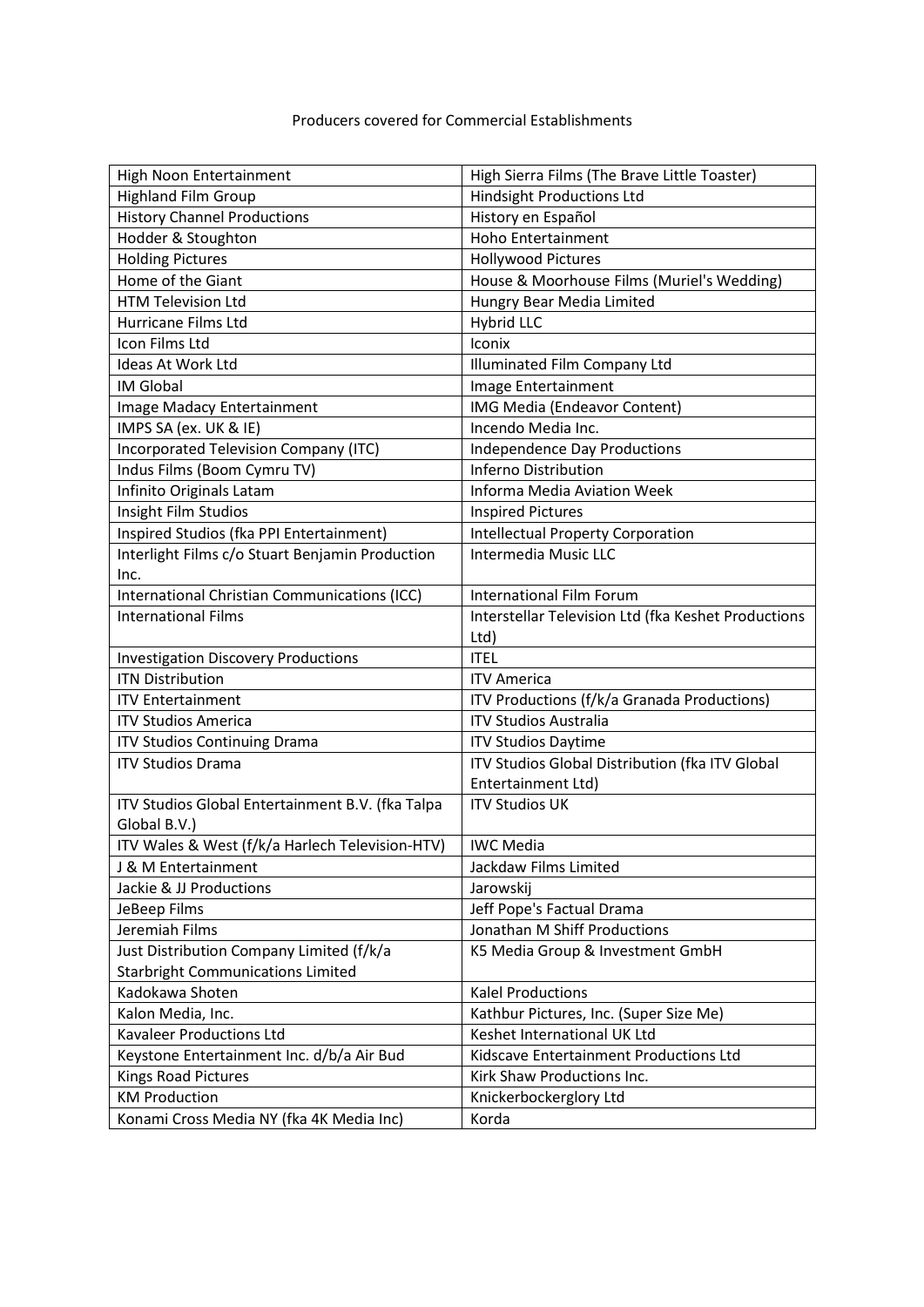| High Noon Entertainment                          | High Sierra Films (The Brave Little Toaster)        |
|--------------------------------------------------|-----------------------------------------------------|
| <b>Highland Film Group</b>                       | <b>Hindsight Productions Ltd</b>                    |
| <b>History Channel Productions</b>               | History en Español                                  |
| Hodder & Stoughton                               | <b>Hoho Entertainment</b>                           |
| <b>Holding Pictures</b>                          | <b>Hollywood Pictures</b>                           |
| Home of the Giant                                | House & Moorhouse Films (Muriel's Wedding)          |
| <b>HTM Television Ltd</b>                        | Hungry Bear Media Limited                           |
| Hurricane Films Ltd                              | Hybrid LLC                                          |
| Icon Films Ltd                                   | Iconix                                              |
| Ideas At Work Ltd                                | Illuminated Film Company Ltd                        |
| <b>IM Global</b>                                 | Image Entertainment                                 |
| Image Madacy Entertainment                       | IMG Media (Endeavor Content)                        |
| IMPS SA (ex. UK & IE)                            | Incendo Media Inc.                                  |
| Incorporated Television Company (ITC)            | <b>Independence Day Productions</b>                 |
| Indus Films (Boom Cymru TV)                      | Inferno Distribution                                |
| Infinito Originals Latam                         | <b>Informa Media Aviation Week</b>                  |
| Insight Film Studios                             | <b>Inspired Pictures</b>                            |
| Inspired Studios (fka PPI Entertainment)         | <b>Intellectual Property Corporation</b>            |
| Interlight Films c/o Stuart Benjamin Production  | Intermedia Music LLC                                |
| Inc.                                             |                                                     |
| International Christian Communications (ICC)     | <b>International Film Forum</b>                     |
| <b>International Films</b>                       | Interstellar Television Ltd (fka Keshet Productions |
|                                                  | Ltd)                                                |
| <b>Investigation Discovery Productions</b>       | <b>ITEL</b>                                         |
| <b>ITN Distribution</b>                          | <b>ITV America</b>                                  |
| <b>ITV Entertainment</b>                         | ITV Productions (f/k/a Granada Productions)         |
| <b>ITV Studios America</b>                       | <b>ITV Studios Australia</b>                        |
| <b>ITV Studios Continuing Drama</b>              | <b>ITV Studios Daytime</b>                          |
| <b>ITV Studios Drama</b>                         | ITV Studios Global Distribution (fka ITV Global     |
|                                                  | Entertainment Ltd)                                  |
| ITV Studios Global Entertainment B.V. (fka Talpa | <b>ITV Studios UK</b>                               |
| Global B.V.)                                     |                                                     |
| ITV Wales & West (f/k/a Harlech Television-HTV)  | <b>IWC Media</b>                                    |
| J & M Entertainment                              | Jackdaw Films Limited                               |
| Jackie & JJ Productions                          | Jarowskij                                           |
| JeBeep Films                                     | Jeff Pope's Factual Drama                           |
| Jeremiah Films                                   | Jonathan M Shiff Productions                        |
| Just Distribution Company Limited (f/k/a         | K5 Media Group & Investment GmbH                    |
| <b>Starbright Communications Limited</b>         |                                                     |
| Kadokawa Shoten                                  | <b>Kalel Productions</b>                            |
| Kalon Media, Inc.                                | Kathbur Pictures, Inc. (Super Size Me)              |
| Kavaleer Productions Ltd                         | Keshet International UK Ltd                         |
|                                                  |                                                     |
| Keystone Entertainment Inc. d/b/a Air Bud        | Kidscave Entertainment Productions Ltd              |
| Kings Road Pictures                              | Kirk Shaw Productions Inc.                          |
| <b>KM Production</b>                             | Knickerbockerglory Ltd                              |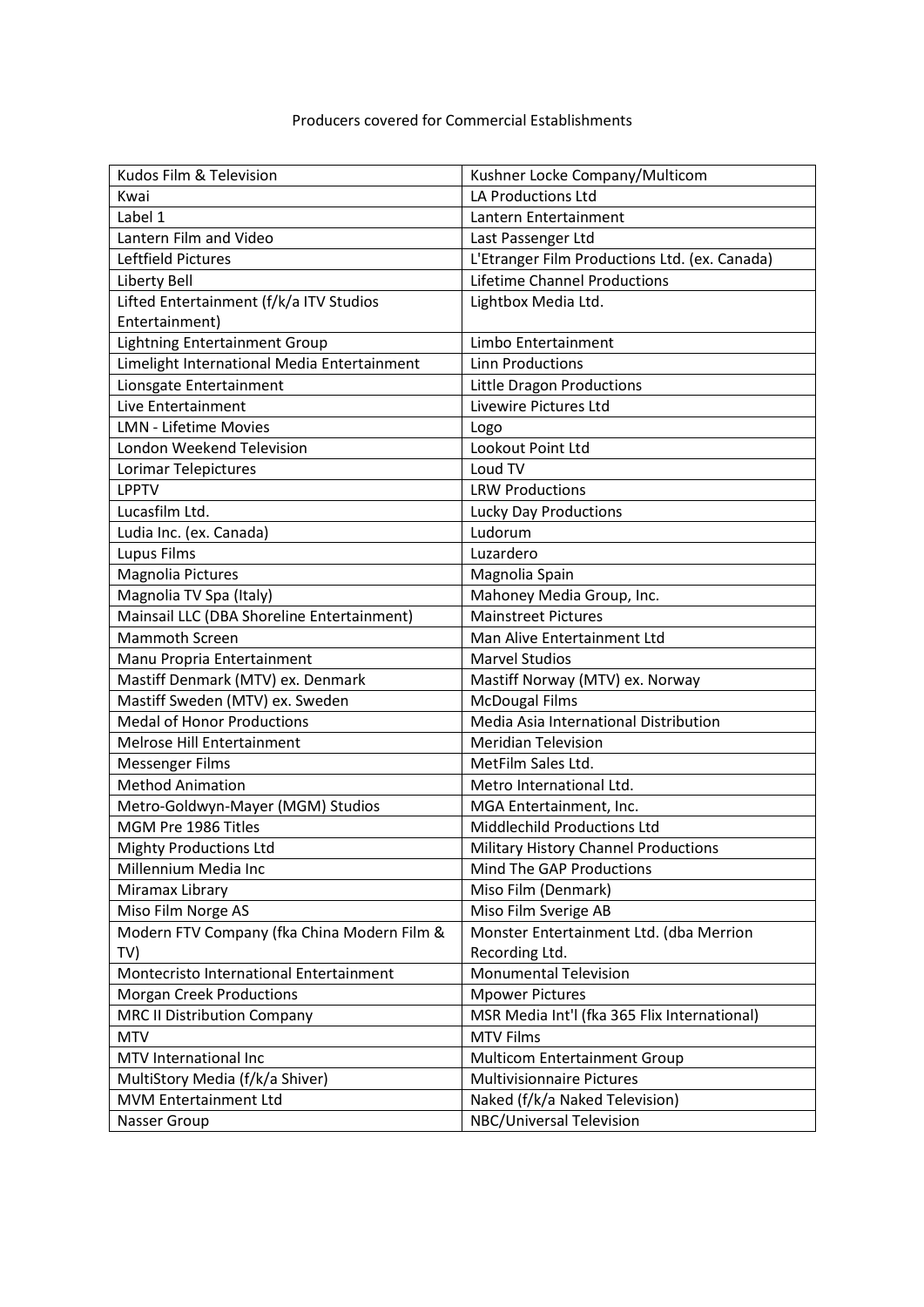| Kudos Film & Television                     | Kushner Locke Company/Multicom                |
|---------------------------------------------|-----------------------------------------------|
| Kwai                                        | LA Productions Ltd                            |
| Label 1                                     | Lantern Entertainment                         |
| Lantern Film and Video                      | Last Passenger Ltd                            |
| Leftfield Pictures                          | L'Etranger Film Productions Ltd. (ex. Canada) |
| Liberty Bell                                | <b>Lifetime Channel Productions</b>           |
| Lifted Entertainment (f/k/a ITV Studios     | Lightbox Media Ltd.                           |
| Entertainment)                              |                                               |
| <b>Lightning Entertainment Group</b>        | Limbo Entertainment                           |
| Limelight International Media Entertainment | <b>Linn Productions</b>                       |
| Lionsgate Entertainment                     | Little Dragon Productions                     |
| Live Entertainment                          | Livewire Pictures Ltd                         |
| <b>LMN - Lifetime Movies</b>                | Logo                                          |
| London Weekend Television                   | Lookout Point Ltd                             |
| Lorimar Telepictures                        | Loud TV                                       |
| <b>LPPTV</b>                                | <b>LRW Productions</b>                        |
| Lucasfilm Ltd.                              | <b>Lucky Day Productions</b>                  |
| Ludia Inc. (ex. Canada)                     | Ludorum                                       |
| Lupus Films                                 | Luzardero                                     |
| Magnolia Pictures                           | Magnolia Spain                                |
| Magnolia TV Spa (Italy)                     | Mahoney Media Group, Inc.                     |
| Mainsail LLC (DBA Shoreline Entertainment)  | <b>Mainstreet Pictures</b>                    |
| <b>Mammoth Screen</b>                       | Man Alive Entertainment Ltd                   |
| Manu Propria Entertainment                  | <b>Marvel Studios</b>                         |
| Mastiff Denmark (MTV) ex. Denmark           | Mastiff Norway (MTV) ex. Norway               |
| Mastiff Sweden (MTV) ex. Sweden             | <b>McDougal Films</b>                         |
| <b>Medal of Honor Productions</b>           | Media Asia International Distribution         |
| Melrose Hill Entertainment                  | <b>Meridian Television</b>                    |
| Messenger Films                             | MetFilm Sales Ltd.                            |
| <b>Method Animation</b>                     | Metro International Ltd.                      |
| Metro-Goldwyn-Mayer (MGM) Studios           | MGA Entertainment, Inc.                       |
| MGM Pre 1986 Titles                         | <b>Middlechild Productions Ltd</b>            |
| <b>Mighty Productions Ltd</b>               | Military History Channel Productions          |
| Millennium Media Inc                        | Mind The GAP Productions                      |
| Miramax Library                             | Miso Film (Denmark)                           |
| Miso Film Norge AS                          | Miso Film Sverige AB                          |
| Modern FTV Company (fka China Modern Film & | Monster Entertainment Ltd. (dba Merrion       |
| TV)                                         | Recording Ltd.                                |
| Montecristo International Entertainment     | <b>Monumental Television</b>                  |
| <b>Morgan Creek Productions</b>             | <b>Mpower Pictures</b>                        |
| <b>MRC II Distribution Company</b>          | MSR Media Int'l (fka 365 Flix International)  |
| <b>MTV</b>                                  | <b>MTV Films</b>                              |
| MTV International Inc                       | <b>Multicom Entertainment Group</b>           |
| MultiStory Media (f/k/a Shiver)             | <b>Multivisionnaire Pictures</b>              |
| MVM Entertainment Ltd                       | Naked (f/k/a Naked Television)                |
| Nasser Group                                | NBC/Universal Television                      |
|                                             |                                               |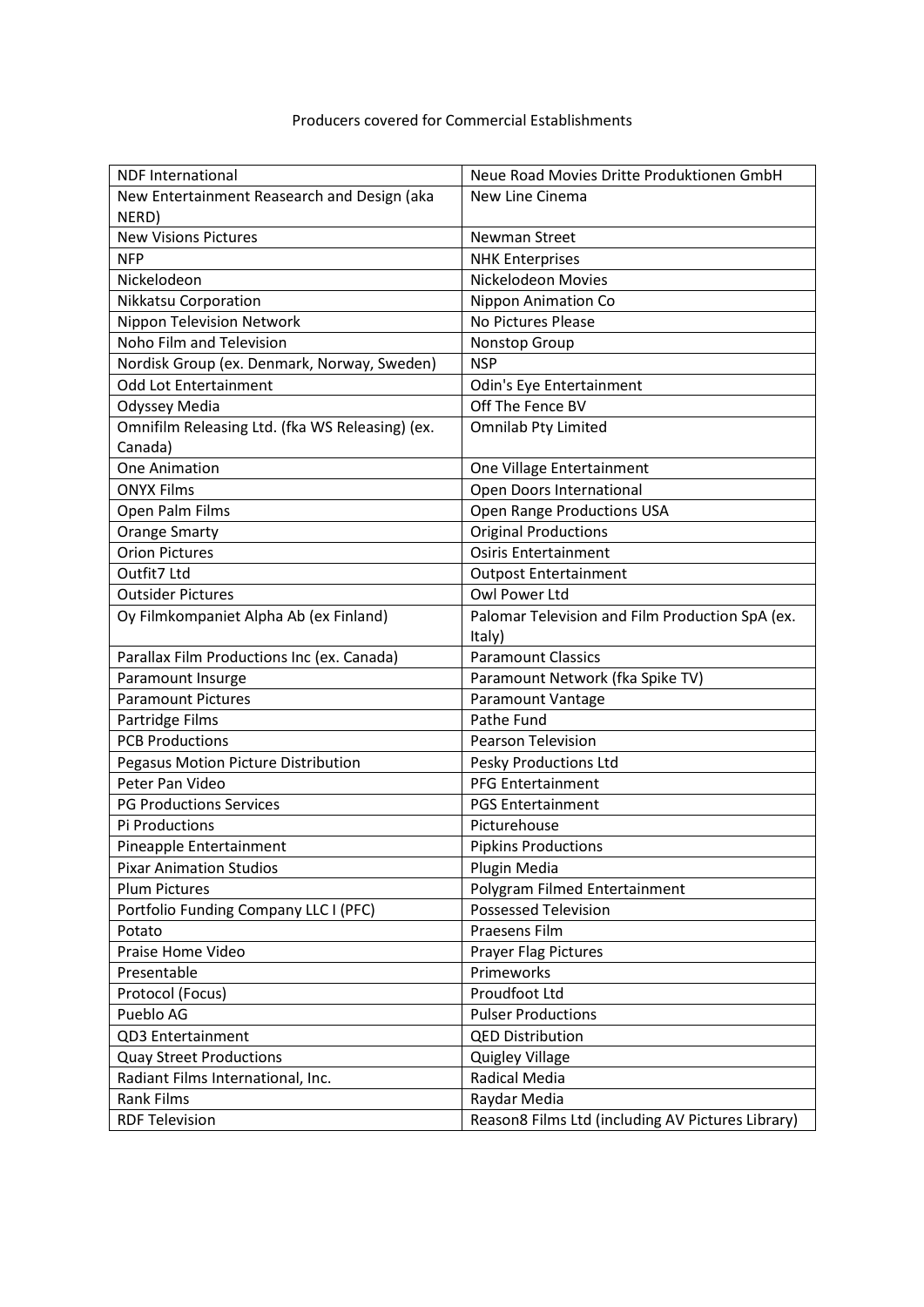| <b>NDF</b> International                        | Neue Road Movies Dritte Produktionen GmbH         |
|-------------------------------------------------|---------------------------------------------------|
| New Entertainment Reasearch and Design (aka     | New Line Cinema                                   |
| NERD)                                           |                                                   |
| <b>New Visions Pictures</b>                     | Newman Street                                     |
| <b>NFP</b>                                      | <b>NHK Enterprises</b>                            |
| Nickelodeon                                     | Nickelodeon Movies                                |
| Nikkatsu Corporation                            | <b>Nippon Animation Co</b>                        |
| Nippon Television Network                       | No Pictures Please                                |
| Noho Film and Television                        | Nonstop Group                                     |
| Nordisk Group (ex. Denmark, Norway, Sweden)     | <b>NSP</b>                                        |
| <b>Odd Lot Entertainment</b>                    | Odin's Eye Entertainment                          |
| Odyssey Media                                   | Off The Fence BV                                  |
| Omnifilm Releasing Ltd. (fka WS Releasing) (ex. | <b>Omnilab Pty Limited</b>                        |
| Canada)                                         |                                                   |
| <b>One Animation</b>                            | One Village Entertainment                         |
| <b>ONYX Films</b>                               | Open Doors International                          |
| Open Palm Films                                 | Open Range Productions USA                        |
| <b>Orange Smarty</b>                            | <b>Original Productions</b>                       |
| <b>Orion Pictures</b>                           | <b>Osiris Entertainment</b>                       |
| Outfit7 Ltd                                     | <b>Outpost Entertainment</b>                      |
| <b>Outsider Pictures</b>                        | Owl Power Ltd                                     |
| Oy Filmkompaniet Alpha Ab (ex Finland)          | Palomar Television and Film Production SpA (ex.   |
|                                                 | Italy)                                            |
| Parallax Film Productions Inc (ex. Canada)      | <b>Paramount Classics</b>                         |
| Paramount Insurge                               | Paramount Network (fka Spike TV)                  |
| <b>Paramount Pictures</b>                       | Paramount Vantage                                 |
| Partridge Films                                 | Pathe Fund                                        |
| <b>PCB Productions</b>                          | Pearson Television                                |
| Pegasus Motion Picture Distribution             | Pesky Productions Ltd                             |
| Peter Pan Video                                 | <b>PFG Entertainment</b>                          |
| <b>PG Productions Services</b>                  | <b>PGS Entertainment</b>                          |
| Pi Productions                                  | Picturehouse                                      |
| Pineapple Entertainment                         | <b>Pipkins Productions</b>                        |
| <b>Pixar Animation Studios</b>                  | Plugin Media                                      |
| <b>Plum Pictures</b>                            | Polygram Filmed Entertainment                     |
| Portfolio Funding Company LLC I (PFC)           | <b>Possessed Television</b>                       |
| Potato                                          | Praesens Film                                     |
| Praise Home Video                               | <b>Prayer Flag Pictures</b>                       |
| Presentable                                     | Primeworks                                        |
| Protocol (Focus)                                | Proudfoot Ltd                                     |
| Pueblo AG                                       | <b>Pulser Productions</b>                         |
| QD3 Entertainment                               | <b>QED Distribution</b>                           |
| <b>Quay Street Productions</b>                  | Quigley Village                                   |
| Radiant Films International, Inc.               | Radical Media                                     |
| <b>Rank Films</b>                               | Raydar Media                                      |
| <b>RDF Television</b>                           | Reason8 Films Ltd (including AV Pictures Library) |
|                                                 |                                                   |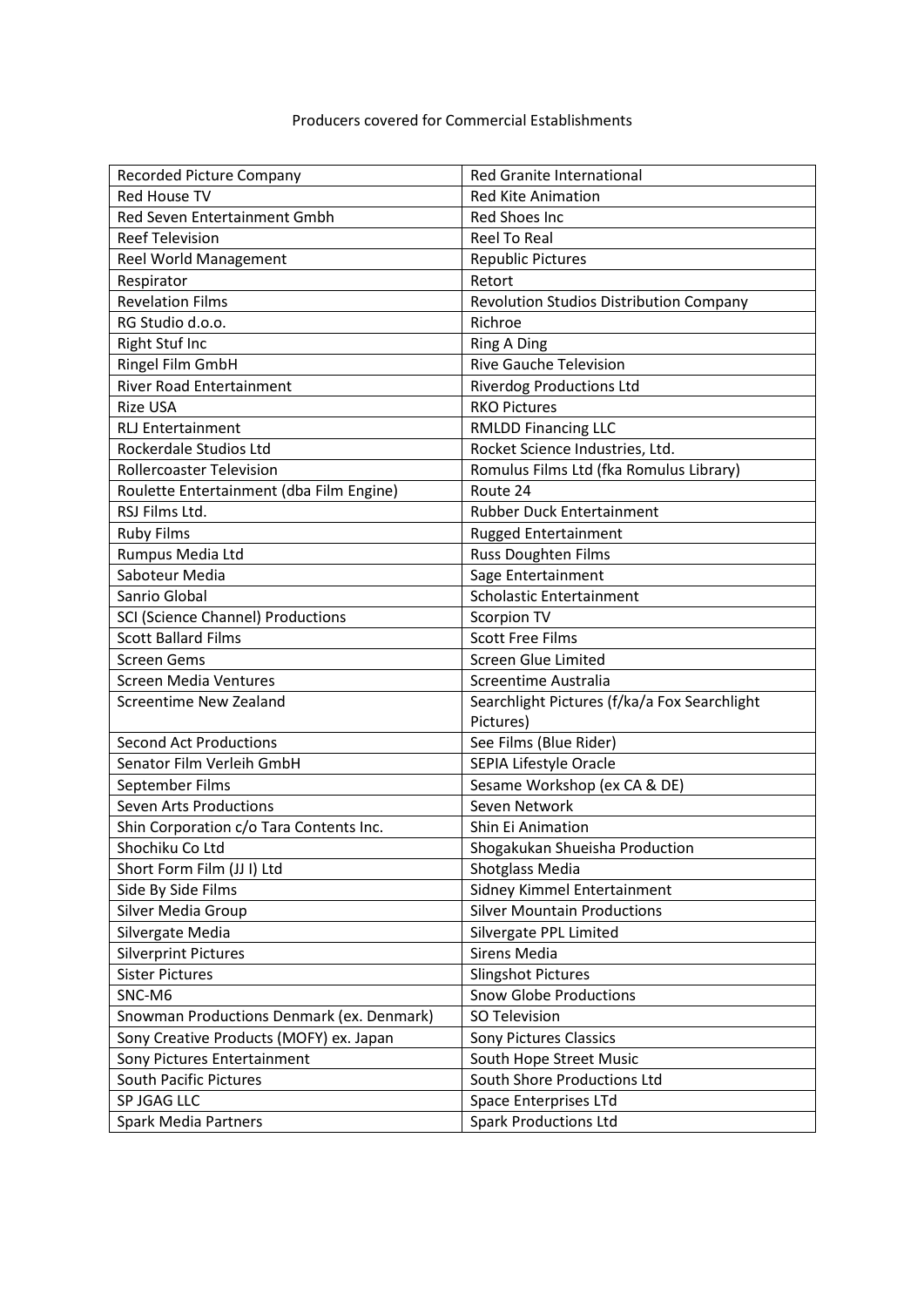| Recorded Picture Company                  | Red Granite International                    |
|-------------------------------------------|----------------------------------------------|
| <b>Red House TV</b>                       | <b>Red Kite Animation</b>                    |
| Red Seven Entertainment Gmbh              | Red Shoes Inc                                |
| <b>Reef Television</b>                    | <b>Reel To Real</b>                          |
| Reel World Management                     | <b>Republic Pictures</b>                     |
| Respirator                                | Retort                                       |
| <b>Revelation Films</b>                   | Revolution Studios Distribution Company      |
| RG Studio d.o.o.                          | Richroe                                      |
| Right Stuf Inc                            | <b>Ring A Ding</b>                           |
| Ringel Film GmbH                          | <b>Rive Gauche Television</b>                |
| <b>River Road Entertainment</b>           | <b>Riverdog Productions Ltd</b>              |
| <b>Rize USA</b>                           | <b>RKO Pictures</b>                          |
| <b>RLJ Entertainment</b>                  | <b>RMLDD Financing LLC</b>                   |
| Rockerdale Studios Ltd                    | Rocket Science Industries, Ltd.              |
| <b>Rollercoaster Television</b>           | Romulus Films Ltd (fka Romulus Library)      |
| Roulette Entertainment (dba Film Engine)  | Route 24                                     |
| RSJ Films Ltd.                            | Rubber Duck Entertainment                    |
| <b>Ruby Films</b>                         | <b>Rugged Entertainment</b>                  |
| Rumpus Media Ltd                          | Russ Doughten Films                          |
| Saboteur Media                            | Sage Entertainment                           |
| Sanrio Global                             | Scholastic Entertainment                     |
| SCI (Science Channel) Productions         | Scorpion TV                                  |
| <b>Scott Ballard Films</b>                | <b>Scott Free Films</b>                      |
| <b>Screen Gems</b>                        | <b>Screen Glue Limited</b>                   |
| Screen Media Ventures                     | Screentime Australia                         |
| Screentime New Zealand                    | Searchlight Pictures (f/ka/a Fox Searchlight |
|                                           | Pictures)                                    |
| <b>Second Act Productions</b>             | See Films (Blue Rider)                       |
| Senator Film Verleih GmbH                 | SEPIA Lifestyle Oracle                       |
| September Films                           | Sesame Workshop (ex CA & DE)                 |
| <b>Seven Arts Productions</b>             | Seven Network                                |
| Shin Corporation c/o Tara Contents Inc.   | Shin Ei Animation                            |
| Shochiku Co Ltd                           | Shogakukan Shueisha Production               |
| Short Form Film (JJ I) Ltd                | <b>Shotglass Media</b>                       |
| Side By Side Films                        | Sidney Kimmel Entertainment                  |
| Silver Media Group                        | <b>Silver Mountain Productions</b>           |
| Silvergate Media                          | Silvergate PPL Limited                       |
| <b>Silverprint Pictures</b>               | Sirens Media                                 |
| <b>Sister Pictures</b>                    | <b>Slingshot Pictures</b>                    |
| SNC-M6                                    | <b>Snow Globe Productions</b>                |
| Snowman Productions Denmark (ex. Denmark) | SO Television                                |
| Sony Creative Products (MOFY) ex. Japan   | <b>Sony Pictures Classics</b>                |
| Sony Pictures Entertainment               | South Hope Street Music                      |
| South Pacific Pictures                    | South Shore Productions Ltd                  |
| SP JGAG LLC                               | Space Enterprises LTd                        |
| Spark Media Partners                      | <b>Spark Productions Ltd</b>                 |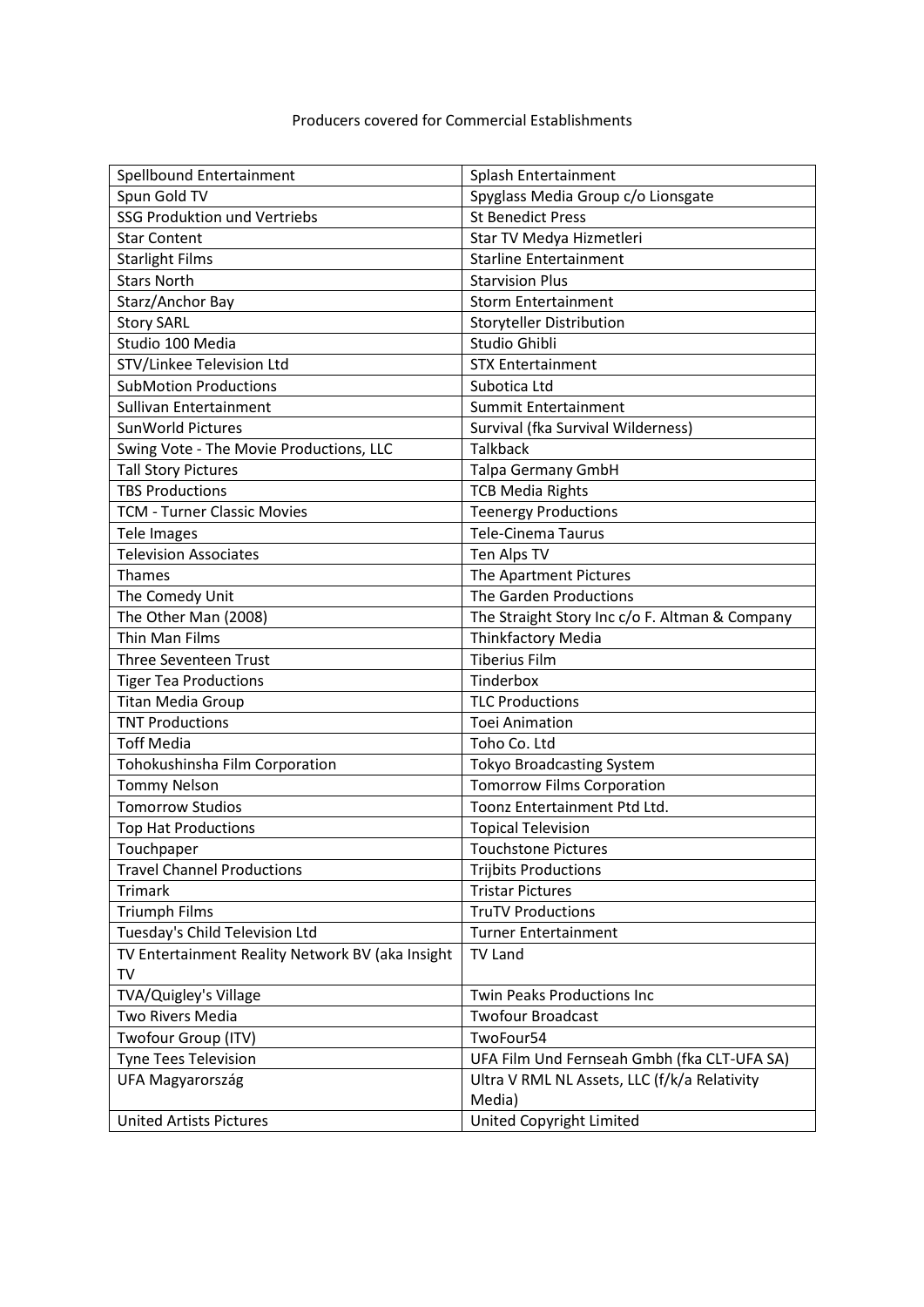| Spellbound Entertainment                         | Splash Entertainment                           |
|--------------------------------------------------|------------------------------------------------|
| Spun Gold TV                                     | Spyglass Media Group c/o Lionsgate             |
| <b>SSG Produktion und Vertriebs</b>              | <b>St Benedict Press</b>                       |
| <b>Star Content</b>                              | Star TV Medya Hizmetleri                       |
| <b>Starlight Films</b>                           | <b>Starline Entertainment</b>                  |
| <b>Stars North</b>                               | <b>Starvision Plus</b>                         |
| Starz/Anchor Bay                                 | <b>Storm Entertainment</b>                     |
| <b>Story SARL</b>                                | Storyteller Distribution                       |
| Studio 100 Media                                 | Studio Ghibli                                  |
| STV/Linkee Television Ltd                        | <b>STX Entertainment</b>                       |
| <b>SubMotion Productions</b>                     | Subotica Ltd                                   |
| Sullivan Entertainment                           | Summit Entertainment                           |
| SunWorld Pictures                                | Survival (fka Survival Wilderness)             |
| Swing Vote - The Movie Productions, LLC          | <b>Talkback</b>                                |
| <b>Tall Story Pictures</b>                       | <b>Talpa Germany GmbH</b>                      |
| <b>TBS Productions</b>                           | <b>TCB Media Rights</b>                        |
| <b>TCM - Turner Classic Movies</b>               | <b>Teenergy Productions</b>                    |
| Tele Images                                      | <b>Tele-Cinema Taurus</b>                      |
| <b>Television Associates</b>                     | Ten Alps TV                                    |
| <b>Thames</b>                                    | The Apartment Pictures                         |
| The Comedy Unit                                  | The Garden Productions                         |
| The Other Man (2008)                             | The Straight Story Inc c/o F. Altman & Company |
| Thin Man Films                                   | Thinkfactory Media                             |
| Three Seventeen Trust                            | <b>Tiberius Film</b>                           |
| <b>Tiger Tea Productions</b>                     | Tinderbox                                      |
| <b>Titan Media Group</b>                         | <b>TLC Productions</b>                         |
| <b>TNT Productions</b>                           | <b>Toei Animation</b>                          |
| <b>Toff Media</b>                                | Toho Co. Ltd                                   |
| Tohokushinsha Film Corporation                   | <b>Tokyo Broadcasting System</b>               |
| <b>Tommy Nelson</b>                              | <b>Tomorrow Films Corporation</b>              |
| <b>Tomorrow Studios</b>                          | Toonz Entertainment Ptd Ltd.                   |
| Top Hat Productions                              | <b>Topical Television</b>                      |
| Touchpaper                                       | <b>Touchstone Pictures</b>                     |
| <b>Travel Channel Productions</b>                | <b>Trijbits Productions</b>                    |
| <b>Trimark</b>                                   | <b>Tristar Pictures</b>                        |
| <b>Triumph Films</b>                             | <b>TruTV Productions</b>                       |
| Tuesday's Child Television Ltd                   | <b>Turner Entertainment</b>                    |
| TV Entertainment Reality Network BV (aka Insight | <b>TV Land</b>                                 |
| TV                                               |                                                |
| TVA/Quigley's Village                            | Twin Peaks Productions Inc                     |
| Two Rivers Media                                 | <b>Twofour Broadcast</b>                       |
| Twofour Group (ITV)                              | TwoFour54                                      |
| Tyne Tees Television                             | UFA Film Und Fernseah Gmbh (fka CLT-UFA SA)    |
| UFA Magyarország                                 | Ultra V RML NL Assets, LLC (f/k/a Relativity   |
|                                                  | Media)                                         |
| <b>United Artists Pictures</b>                   | United Copyright Limited                       |